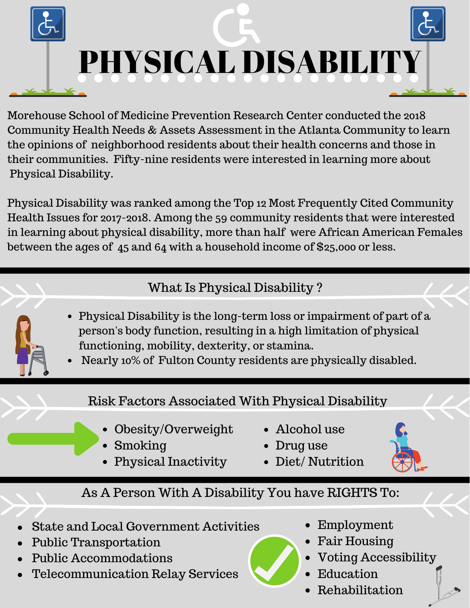

Morehouse School of Medicine Prevention Research Center conducted the 2018 Community Health Needs & Assets Assessment in the Atlanta Community to learn the opinions of neighborhood residents about their health concerns and those in their communities. Fifty-nine residents were interested in learning more about Physical Disability.

Physical Disability was ranked among the Top 12 Most Frequently Cited Community Health Issues for 2017-2018. Among the 59 community residents that were interested in learning about physical disability, more than half were African American Females between the ages of 45 and 64 with a household income of \$25,000 or less.

# What Is Physical Disability ?

- Physical Disability is the long-term loss or impairment of part of a person's body function, resulting in a high limitation of physical functioning, mobility, dexterity, or stamina.
- Nearly 10% of Fulton County residents are physically disabled.

### Risk Factors Associated With Physical Disability

- Obesity/Overweight
- Smoking
- Physical Inactivity
- Alcohol use
- Drug use
- Diet/ Nutrition

## As A Person With A Disability You have RIGHTS To:

- State and Local Government Activities
- Public Transportation
- Public Accommodations
- Telecommunication Relay Services
- Employment
- Fair Housing
- Voting Accessibility
- Education
- Rehabilitation